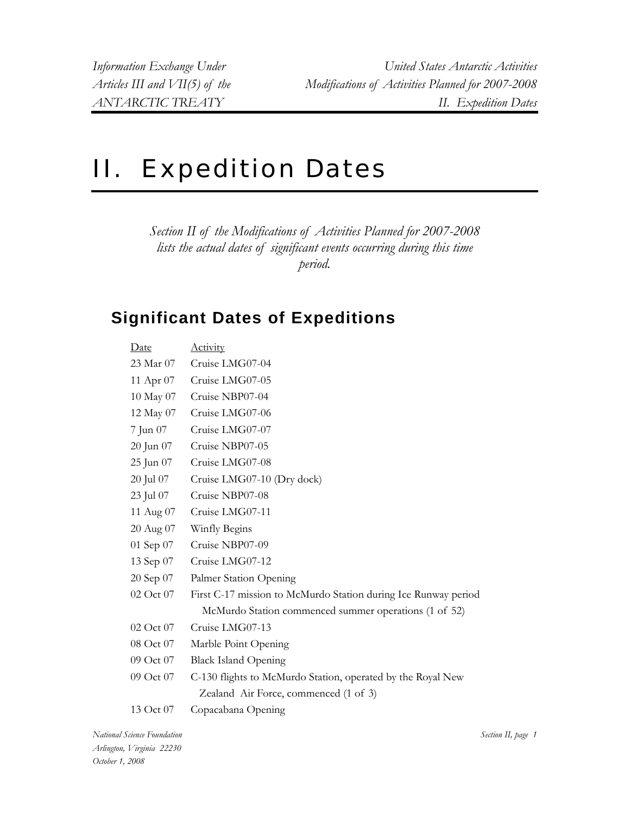## II. Expedition Dates

*Section II of the Modifications of Activities Planned for 2007-2008 lists the actual dates of significant events occurring during this time period.* 

## **Significant Dates of Expeditions**

| Date      | <b>Activity</b>                                                |
|-----------|----------------------------------------------------------------|
| 23 Mar 07 | Cruise LMG07-04                                                |
| 11 Apr 07 | Cruise LMG07-05                                                |
| 10 May 07 | Cruise NBP07-04                                                |
| 12 May 07 | Cruise LMG07-06                                                |
| 7 Jun 07  | Cruise LMG07-07                                                |
| 20 Jun 07 | Cruise NBP07-05                                                |
| 25 Jun 07 | Cruise LMG07-08                                                |
| 20 Jul 07 | Cruise LMG07-10 (Dry dock)                                     |
| 23 Jul 07 | Cruise NBP07-08                                                |
| 11 Aug 07 | Cruise LMG07-11                                                |
| 20 Aug 07 | Winfly Begins                                                  |
| 01 Sep 07 | Cruise NBP07-09                                                |
| 13 Sep 07 | Cruise LMG07-12                                                |
| 20 Sep 07 | Palmer Station Opening                                         |
| 02 Oct 07 | First C-17 mission to McMurdo Station during Ice Runway period |
|           | McMurdo Station commenced summer operations (1 of 52)          |
| 02 Oct 07 | Cruise LMG07-13                                                |
| 08 Oct 07 | Marble Point Opening                                           |
| 09 Oct 07 | <b>Black Island Opening</b>                                    |
| 09 Oct 07 | C-130 flights to McMurdo Station, operated by the Royal New    |
|           | Zealand Air Force, commenced (1 of 3)                          |
| 13 Oct 07 | Copacabana Opening                                             |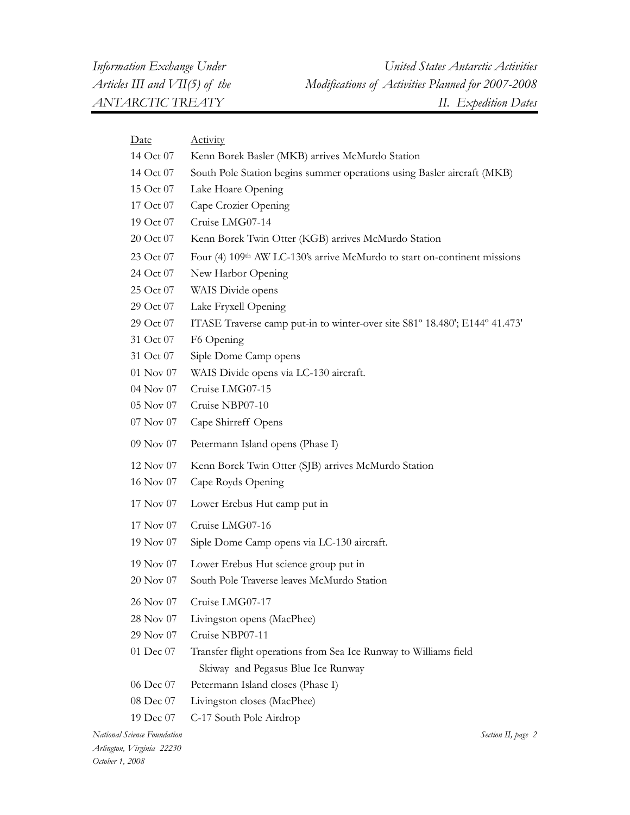| <u>Date</u>   | <b>Activity</b>                                                                      |
|---------------|--------------------------------------------------------------------------------------|
| 14 Oct 07     | Kenn Borek Basler (MKB) arrives McMurdo Station                                      |
| 14 Oct 07     | South Pole Station begins summer operations using Basler aircraft (MKB)              |
| 15 Oct 07     | Lake Hoare Opening                                                                   |
| 17 Oct 07     | Cape Crozier Opening                                                                 |
| 19 Oct 07     | Cruise LMG07-14                                                                      |
| 20 Oct 07     | Kenn Borek Twin Otter (KGB) arrives McMurdo Station                                  |
| 23 Oct 07     | Four (4) 109 <sup>th</sup> AW LC-130's arrive McMurdo to start on-continent missions |
| 24 Oct 07     | New Harbor Opening                                                                   |
| 25 Oct 07     | WAIS Divide opens                                                                    |
| 29 Oct 07     | Lake Fryxell Opening                                                                 |
| 29 Oct 07     | ITASE Traverse camp put-in to winter-over site S81° 18.480'; E144° 41.473'           |
| 31 Oct 07     | F6 Opening                                                                           |
| 31 Oct 07     | Siple Dome Camp opens                                                                |
| $01$ Nov $07$ | WAIS Divide opens via LC-130 aircraft.                                               |
| 04 Nov 07     | Cruise LMG07-15                                                                      |
| 05 Nov 07     | Cruise NBP07-10                                                                      |
| 07 Nov 07     | Cape Shirreff Opens                                                                  |
| 09 Nov 07     | Petermann Island opens (Phase I)                                                     |
| 12 Nov 07     | Kenn Borek Twin Otter (SJB) arrives McMurdo Station                                  |
| 16 Nov 07     | Cape Royds Opening                                                                   |
| 17 Nov 07     | Lower Erebus Hut camp put in                                                         |
| 17 Nov 07     | Cruise LMG07-16                                                                      |
| 19 Nov 07     | Siple Dome Camp opens via LC-130 aircraft.                                           |
| 19 Nov 07     | Lower Erebus Hut science group put in                                                |
| 20 Nov 07     | South Pole Traverse leaves McMurdo Station                                           |
| 26 Nov 07     | Cruise LMG07-17                                                                      |
| 28 Nov 07     | Livingston opens (MacPhee)                                                           |
| 29 Nov 07     | Cruise NBP07-11                                                                      |
| 01 Dec 07     | Transfer flight operations from Sea Ice Runway to Williams field                     |
|               | Skiway and Pegasus Blue Ice Runway                                                   |
| 06 Dec 07     | Petermann Island closes (Phase I)                                                    |
| 08 Dec 07     | Livingston closes (MacPhee)                                                          |
| 19 Dec 07     | C-17 South Pole Airdrop                                                              |